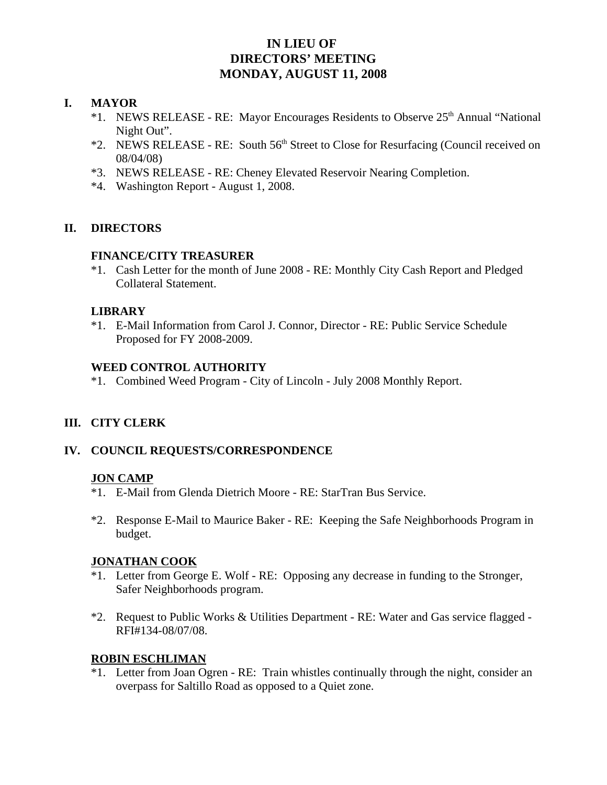# **IN LIEU OF DIRECTORS' MEETING MONDAY, AUGUST 11, 2008**

## **I. MAYOR**

- \*1. NEWS RELEASE RE: Mayor Encourages Residents to Observe 25<sup>th</sup> Annual "National" Night Out".
- \*2. NEWS RELEASE RE: South 56th Street to Close for Resurfacing (Council received on 08/04/08)
- \*3. NEWS RELEASE RE: Cheney Elevated Reservoir Nearing Completion.
- \*4. Washington Report August 1, 2008.

# **II. DIRECTORS**

## **FINANCE/CITY TREASURER**

\*1. Cash Letter for the month of June 2008 - RE: Monthly City Cash Report and Pledged Collateral Statement.

## **LIBRARY**

\*1. E-Mail Information from Carol J. Connor, Director - RE: Public Service Schedule Proposed for FY 2008-2009.

## **WEED CONTROL AUTHORITY**

\*1. Combined Weed Program - City of Lincoln - July 2008 Monthly Report.

# **III. CITY CLERK**

# **IV. COUNCIL REQUESTS/CORRESPONDENCE**

#### **JON CAMP**

- \*1. E-Mail from Glenda Dietrich Moore RE: StarTran Bus Service.
- \*2. Response E-Mail to Maurice Baker RE: Keeping the Safe Neighborhoods Program in budget.

#### **JONATHAN COOK**

- \*1. Letter from George E. Wolf RE: Opposing any decrease in funding to the Stronger, Safer Neighborhoods program.
- \*2. Request to Public Works & Utilities Department RE: Water and Gas service flagged RFI#134-08/07/08.

# **ROBIN ESCHLIMAN**

\*1. Letter from Joan Ogren - RE: Train whistles continually through the night, consider an overpass for Saltillo Road as opposed to a Quiet zone.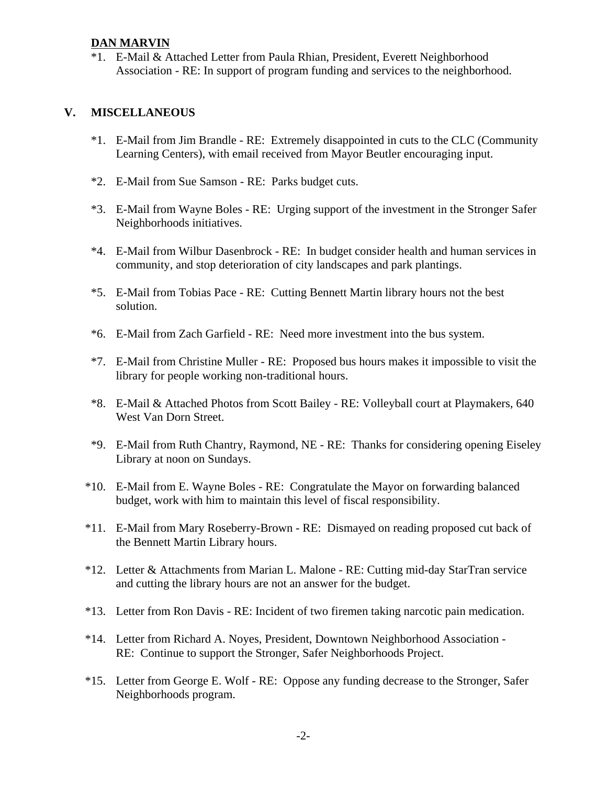## **DAN MARVIN**

\*1. E-Mail & Attached Letter from Paula Rhian, President, Everett Neighborhood Association - RE: In support of program funding and services to the neighborhood.

# **V. MISCELLANEOUS**

- \*1. E-Mail from Jim Brandle RE: Extremely disappointed in cuts to the CLC (Community Learning Centers), with email received from Mayor Beutler encouraging input.
- \*2. E-Mail from Sue Samson RE: Parks budget cuts.
- \*3. E-Mail from Wayne Boles RE: Urging support of the investment in the Stronger Safer Neighborhoods initiatives.
- \*4. E-Mail from Wilbur Dasenbrock RE: In budget consider health and human services in community, and stop deterioration of city landscapes and park plantings.
- \*5. E-Mail from Tobias Pace RE: Cutting Bennett Martin library hours not the best solution.
- \*6. E-Mail from Zach Garfield RE: Need more investment into the bus system.
- \*7. E-Mail from Christine Muller RE: Proposed bus hours makes it impossible to visit the library for people working non-traditional hours.
- \*8. E-Mail & Attached Photos from Scott Bailey RE: Volleyball court at Playmakers, 640 West Van Dorn Street.
- \*9. E-Mail from Ruth Chantry, Raymond, NE RE: Thanks for considering opening Eiseley Library at noon on Sundays.
- \*10. E-Mail from E. Wayne Boles RE: Congratulate the Mayor on forwarding balanced budget, work with him to maintain this level of fiscal responsibility.
- \*11. E-Mail from Mary Roseberry-Brown RE: Dismayed on reading proposed cut back of the Bennett Martin Library hours.
- \*12. Letter & Attachments from Marian L. Malone RE: Cutting mid-day StarTran service and cutting the library hours are not an answer for the budget.
- \*13. Letter from Ron Davis RE: Incident of two firemen taking narcotic pain medication.
- \*14. Letter from Richard A. Noyes, President, Downtown Neighborhood Association RE: Continue to support the Stronger, Safer Neighborhoods Project.
- \*15. Letter from George E. Wolf RE: Oppose any funding decrease to the Stronger, Safer Neighborhoods program.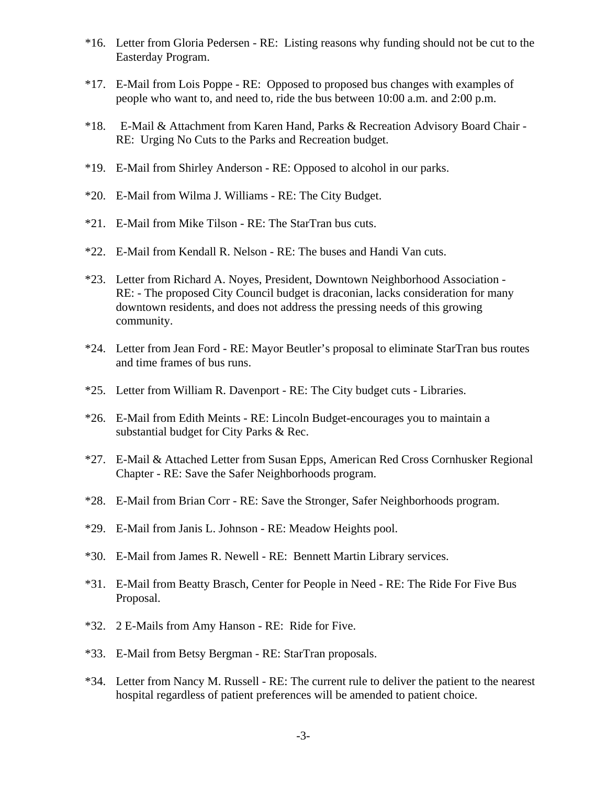- \*16. Letter from Gloria Pedersen RE: Listing reasons why funding should not be cut to the Easterday Program.
- \*17. E-Mail from Lois Poppe RE: Opposed to proposed bus changes with examples of people who want to, and need to, ride the bus between 10:00 a.m. and 2:00 p.m.
- \*18. E-Mail & Attachment from Karen Hand, Parks & Recreation Advisory Board Chair RE: Urging No Cuts to the Parks and Recreation budget.
- \*19. E-Mail from Shirley Anderson RE: Opposed to alcohol in our parks.
- \*20. E-Mail from Wilma J. Williams RE: The City Budget.
- \*21. E-Mail from Mike Tilson RE: The StarTran bus cuts.
- \*22. E-Mail from Kendall R. Nelson RE: The buses and Handi Van cuts.
- \*23. Letter from Richard A. Noyes, President, Downtown Neighborhood Association RE: - The proposed City Council budget is draconian, lacks consideration for many downtown residents, and does not address the pressing needs of this growing community.
- \*24. Letter from Jean Ford RE: Mayor Beutler's proposal to eliminate StarTran bus routes and time frames of bus runs.
- \*25. Letter from William R. Davenport RE: The City budget cuts Libraries.
- \*26. E-Mail from Edith Meints RE: Lincoln Budget-encourages you to maintain a substantial budget for City Parks & Rec.
- \*27. E-Mail & Attached Letter from Susan Epps, American Red Cross Cornhusker Regional Chapter - RE: Save the Safer Neighborhoods program.
- \*28. E-Mail from Brian Corr RE: Save the Stronger, Safer Neighborhoods program.
- \*29. E-Mail from Janis L. Johnson RE: Meadow Heights pool.
- \*30. E-Mail from James R. Newell RE: Bennett Martin Library services.
- \*31. E-Mail from Beatty Brasch, Center for People in Need RE: The Ride For Five Bus Proposal.
- \*32. 2 E-Mails from Amy Hanson RE: Ride for Five.
- \*33. E-Mail from Betsy Bergman RE: StarTran proposals.
- \*34. Letter from Nancy M. Russell RE: The current rule to deliver the patient to the nearest hospital regardless of patient preferences will be amended to patient choice.